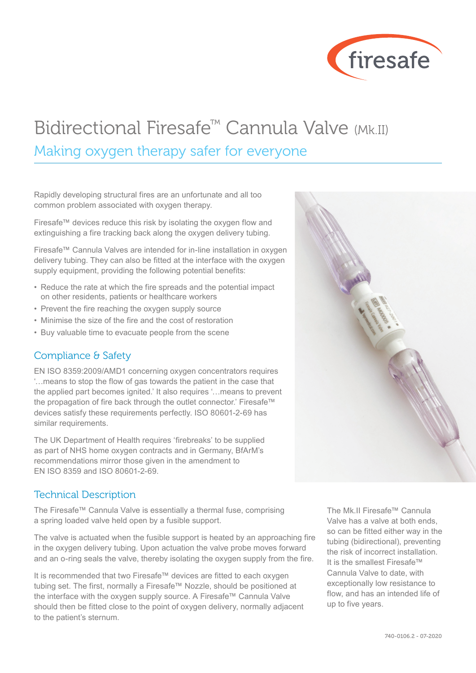

# Bidirectional Firesafe™ Cannula Valve (Mk.II)

### Making oxygen therapy safer for everyone

Rapidly developing structural fires are an unfortunate and all too common problem associated with oxygen therapy.

Firesafe™ devices reduce this risk by isolating the oxygen flow and extinguishing a fire tracking back along the oxygen delivery tubing.

Firesafe™ Cannula Valves are intended for in-line installation in oxygen delivery tubing. They can also be fitted at the interface with the oxygen supply equipment, providing the following potential benefits:

- Reduce the rate at which the fire spreads and the potential impact on other residents, patients or healthcare workers
- Prevent the fire reaching the oxygen supply source
- Minimise the size of the fire and the cost of restoration
- Buy valuable time to evacuate people from the scene

#### Compliance & Safety

EN ISO 8359:2009/AMD1 concerning oxygen concentrators requires '…means to stop the flow of gas towards the patient in the case that the applied part becomes ignited.' It also requires '…means to prevent the propagation of fire back through the outlet connector.' Firesafe™ devices satisfy these requirements perfectly. ISO 80601-2-69 has similar requirements.

The UK Department of Health requires 'firebreaks' to be supplied as part of NHS home oxygen contracts and in Germany, BfArM's recommendations mirror those given in the amendment to EN ISO 8359 and ISO 80601-2-69.

#### Technical Description

The Firesafe™ Cannula Valve is essentially a thermal fuse, comprising a spring loaded valve held open by a fusible support.

The valve is actuated when the fusible support is heated by an approaching fire in the oxygen delivery tubing. Upon actuation the valve probe moves forward and an o-ring seals the valve, thereby isolating the oxygen supply from the fire.

It is recommended that two Firesafe™ devices are fitted to each oxygen tubing set. The first, normally a Firesafe™ Nozzle, should be positioned at the interface with the oxygen supply source. A Firesafe™ Cannula Valve should then be fitted close to the point of oxygen delivery, normally adjacent to the patient's sternum.

The Mk.II Firesafe™ Cannula Valve has a valve at both ends, so can be fitted either way in the tubing (bidirectional), preventing the risk of incorrect installation. It is the smallest Firesafe™ Cannula Valve to date, with exceptionally low resistance to flow, and has an intended life of up to five years.